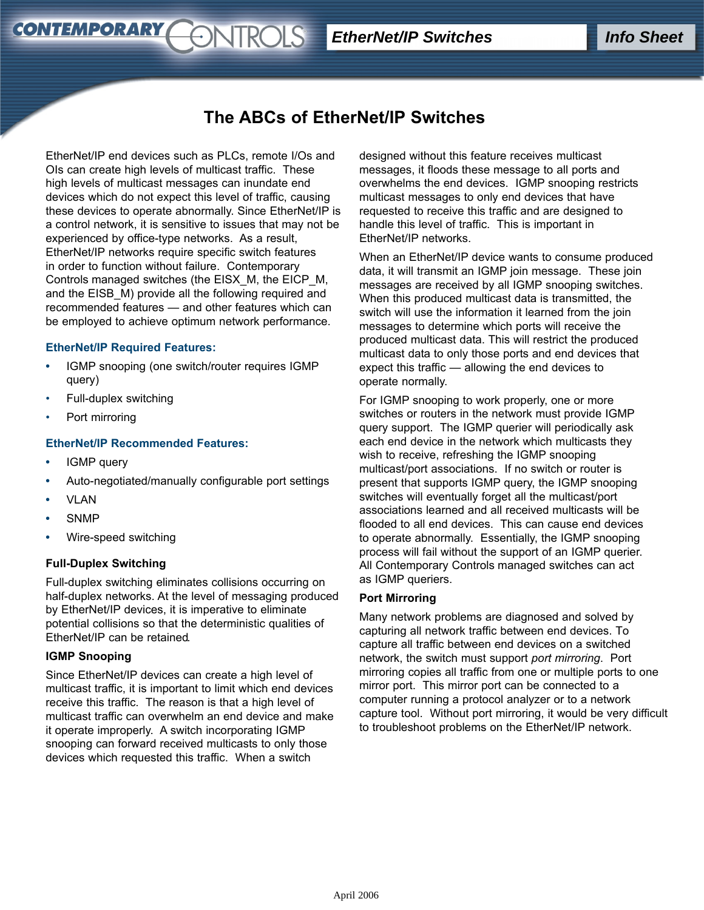# **The ABCs of EtherNet/IP Switches**

EtherNet/IP end devices such as PLCs, remote I/Os and OIs can create high levels of multicast traffic. These high levels of multicast messages can inundate end devices which do not expect this level of traffic, causing these devices to operate abnormally. Since EtherNet/IP is a control network, it is sensitive to issues that may not be experienced by office-type networks. As a result, EtherNet/IP networks require specific switch features in order to function without failure. Contemporary Controls managed switches (the EISX\_M, the EICP\_M, and the EISB\_M) provide all the following required and recommended features — and other features which can be employed to achieve optimum network performance.

*<u>ONTROLS</u>* 

#### **EtherNet/IP Required Features:**

- **•** IGMP snooping (one switch/router requires IGMP query)
- Full-duplex switching
- Port mirroring

**CONTEMPORARY** 

# **EtherNet/IP Recommended Features:**

- **•** IGMP query
- **•** Auto-negotiated/manually configurable port settings
- **•** VLAN
- **•** SNMP
- **•** Wire-speed switching

# **Full-Duplex Switching**

Full-duplex switching eliminates collisions occurring on half-duplex networks. At the level of messaging produced by EtherNet/IP devices, it is imperative to eliminate potential collisions so that the deterministic qualities of EtherNet/IP can be retained.

#### **IGMP Snooping**

Since EtherNet/IP devices can create a high level of multicast traffic, it is important to limit which end devices receive this traffic. The reason is that a high level of multicast traffic can overwhelm an end device and make it operate improperly. A switch incorporating IGMP snooping can forward received multicasts to only those devices which requested this traffic. When a switch

designed without this feature receives multicast messages, it floods these message to all ports and overwhelms the end devices. IGMP snooping restricts multicast messages to only end devices that have requested to receive this traffic and are designed to handle this level of traffic. This is important in EtherNet/IP networks.

When an EtherNet/IP device wants to consume produced data, it will transmit an IGMP join message. These join messages are received by all IGMP snooping switches. When this produced multicast data is transmitted, the switch will use the information it learned from the join messages to determine which ports will receive the produced multicast data. This will restrict the produced multicast data to only those ports and end devices that expect this traffic — allowing the end devices to operate normally.

For IGMP snooping to work properly, one or more switches or routers in the network must provide IGMP query support. The IGMP querier will periodically ask each end device in the network which multicasts they wish to receive, refreshing the IGMP snooping multicast/port associations. If no switch or router is present that supports IGMP query, the IGMP snooping switches will eventually forget all the multicast/port associations learned and all received multicasts will be flooded to all end devices. This can cause end devices to operate abnormally. Essentially, the IGMP snooping process will fail without the support of an IGMP querier. All Contemporary Controls managed switches can act as IGMP queriers.

#### **Port Mirroring**

Many network problems are diagnosed and solved by capturing all network traffic between end devices. To capture all traffic between end devices on a switched network, the switch must support *port mirroring*. Port mirroring copies all traffic from one or multiple ports to one mirror port. This mirror port can be connected to a computer running a protocol analyzer or to a network capture tool. Without port mirroring, it would be very difficult to troubleshoot problems on the EtherNet/IP network.